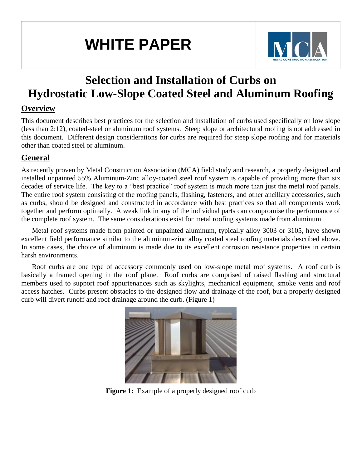# **WHITE PAPER**



# **Selection and Installation of Curbs on Hydrostatic Low-Slope Coated Steel and Aluminum Roofing**

## **Overview**

This document describes best practices for the selection and installation of curbs used specifically on low slope (less than 2:12), coated-steel or aluminum roof systems. Steep slope or architectural roofing is not addressed in this document. Different design considerations for curbs are required for steep slope roofing and for materials other than coated steel or aluminum.

## **General**

As recently proven by Metal Construction Association (MCA) field study and research, a properly designed and installed unpainted 55% Aluminum-Zinc alloy-coated steel roof system is capable of providing more than six decades of service life. The key to a "best practice" roof system is much more than just the metal roof panels. The entire roof system consisting of the roofing panels, flashing, fasteners, and other ancillary accessories, such as curbs, should be designed and constructed in accordance with best practices so that all components work together and perform optimally. A weak link in any of the individual parts can compromise the performance of the complete roof system. The same considerations exist for metal roofing systems made from aluminum.

Metal roof systems made from painted or unpainted aluminum, typically alloy 3003 or 3105, have shown excellent field performance similar to the aluminum-zinc alloy coated steel roofing materials described above. In some cases, the choice of aluminum is made due to its excellent corrosion resistance properties in certain harsh environments.

Roof curbs are one type of accessory commonly used on low-slope metal roof systems. A roof curb is basically a framed opening in the roof plane. Roof curbs are comprised of raised flashing and structural members used to support roof appurtenances such as skylights, mechanical equipment, smoke vents and roof access hatches. Curbs present obstacles to the designed flow and drainage of the roof, but a properly designed curb will divert runoff and roof drainage around the curb. (Figure 1)



**Figure 1:** Example of a properly designed roof curb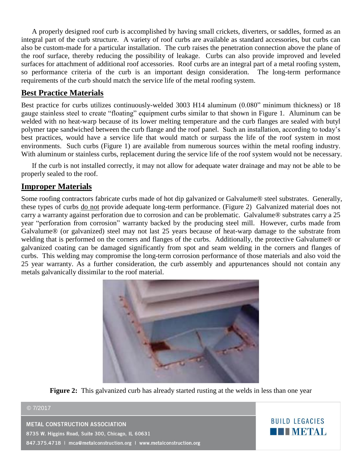A properly designed roof curb is accomplished by having small crickets, diverters, or saddles, formed as an integral part of the curb structure. A variety of roof curbs are available as standard accessories, but curbs can also be custom-made for a particular installation. The curb raises the penetration connection above the plane of the roof surface, thereby reducing the possibility of leakage. Curbs can also provide improved and leveled surfaces for attachment of additional roof accessories. Roof curbs are an integral part of a metal roofing system, so performance criteria of the curb is an important design consideration. The long-term performance requirements of the curb should match the service life of the metal roofing system.

#### **Best Practice Materials**

Best practice for curbs utilizes continuously-welded 3003 H14 aluminum (0.080" minimum thickness) or 18 gauge stainless steel to create "floating" equipment curbs similar to that shown in Figure 1. Aluminum can be welded with no heat-warp because of its lower melting temperature and the curb flanges are sealed with butyl polymer tape sandwiched between the curb flange and the roof panel. Such an installation, according to today's best practices, would have a service life that would match or surpass the life of the roof system in most environments. Such curbs (Figure 1) are available from numerous sources within the metal roofing industry. With aluminum or stainless curbs, replacement during the service life of the roof system would not be necessary.

If the curb is not installed correctly, it may not allow for adequate water drainage and may not be able to be properly sealed to the roof.

#### **Improper Materials**

Some roofing contractors fabricate curbs made of hot dip galvanized or Galvalume® steel substrates. Generally, these types of curbs do not provide adequate long-term performance. (Figure 2) Galvanized material does not carry a warranty against perforation due to corrosion and can be problematic. Galvalume® substrates carry a 25 year "perforation from corrosion" warranty backed by the producing steel mill. However, curbs made from Galvalume® (or galvanized) steel may not last 25 years because of heat-warp damage to the substrate from welding that is performed on the corners and flanges of the curbs. Additionally, the protective Galvalume® or galvanized coating can be damaged significantly from spot and seam welding in the corners and flanges of curbs. This welding may compromise the long-term corrosion performance of those materials and also void the 25 year warranty. As a further consideration, the curb assembly and appurtenances should not contain any metals galvanically dissimilar to the roof material.



**Figure 2:** This galvanized curb has already started rusting at the welds in less than one year

**BUILD LEGACIES** 

**ENTERNATE** 

#### © 7/2017

**METAL CONSTRUCTION ASSOCIATION** 

8735 W. Higgins Road, Suite 300, Chicago, IL 60631

847.375.4718 | mca@metalconstruction.org | www.metalconstruction.org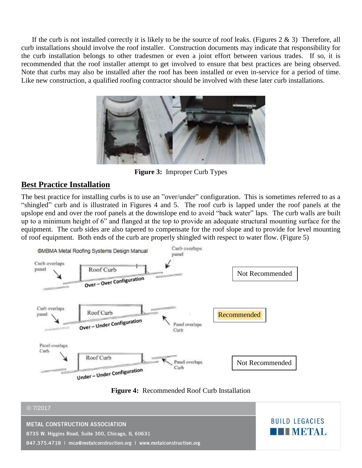If the curb is not installed correctly it is likely to be the source of roof leaks. (Figures  $2 \& 3$ ) Therefore, all curb installations should involve the roof installer. Construction documents may indicate that responsibility for the curb installation belongs to other tradesmen or even a joint effort between various trades. If so, it is recommended that the roof installer attempt to get involved to ensure that best practices are being observed. Note that curbs may also be installed after the roof has been installed or even in-service for a period of time. Like new construction, a qualified roofing contractor should be involved with these later curb installations.



**Figure 3:** Improper Curb Types

#### **Best Practice Installation**

The best practice for installing curbs is to use an "over/under" configuration. This is sometimes referred to as a "shingled" curb and is illustrated in Figures 4 and 5. The roof curb is lapped under the roof panels at the upslope end and over the roof panels at the downslope end to avoid "back water" laps. The curb walls are built up to a minimum height of 6" and flanged at the top to provide an adequate structural mounting surface for the equipment. The curb sides are also tapered to compensate for the roof slope and to provide for level mounting of roof equipment. Both ends of the curb are properly shingled with respect to water flow. (Figure 5)





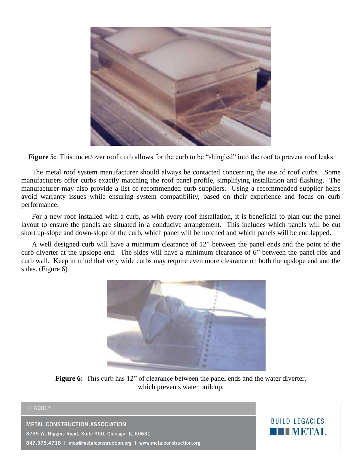

**Figure 5:** This under/over roof curb allows for the curb to be "shingled" into the roof to prevent roof leaks

The metal roof system manufacturer should always be contacted concerning the use of roof curbs. Some manufacturers offer curbs exactly matching the roof panel profile, simplifying installation and flashing. The manufacturer may also provide a list of recommended curb suppliers. Using a recommended supplier helps avoid warranty issues while ensuring system compatibility, based on their experience and focus on curb performance.

For a new roof installed with a curb, as with every roof installation, it is beneficial to plan out the panel layout to ensure the panels are situated in a conducive arrangement. This includes which panels will be cut short up-slope and down-slope of the curb, which panel will be notched and which panels will be end lapped.

A well designed curb will have a minimum clearance of 12" between the panel ends and the point of the curb diverter at the upslope end. The sides will have a minimum clearance of 6" between the panel ribs and curb wall. Keep in mind that very wide curbs may require even more clearance on both the upslope end and the sides. (Figure 6)



**Figure 6:** This curb has 12" of clearance between the panel ends and the water diverter, which prevents water buildup.

# **BUILD LEGACIES THE INTERNATE**

#### © 7/2017

**METAL CONSTRUCTION ASSOCIATION** 

8735 W. Higgins Road, Suite 300, Chicago, IL 60631

847.375.4718 | mca@metalconstruction.org | www.metalconstruction.org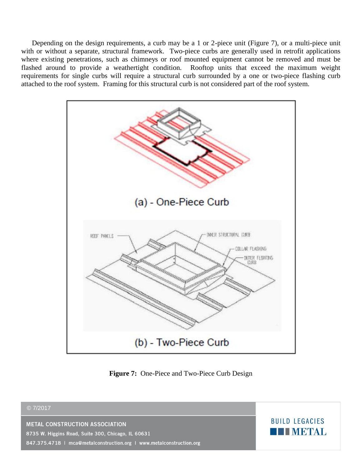Depending on the design requirements, a curb may be a 1 or 2-piece unit (Figure 7), or a multi-piece unit with or without a separate, structural framework. Two-piece curbs are generally used in retrofit applications where existing penetrations, such as chimneys or roof mounted equipment cannot be removed and must be flashed around to provide a weathertight condition. Rooftop units that exceed the maximum weight requirements for single curbs will require a structural curb surrounded by a one or two-piece flashing curb attached to the roof system. Framing for this structural curb is not considered part of the roof system.



**Figure 7:** One-Piece and Two-Piece Curb Design

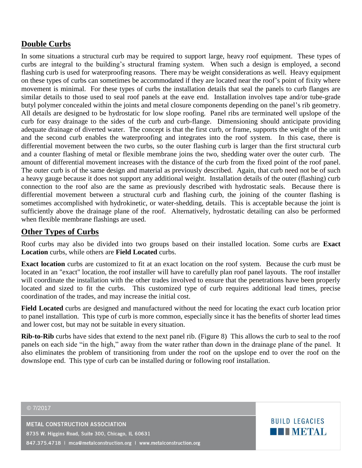#### **Double Curbs**

In some situations a structural curb may be required to support large, heavy roof equipment. These types of curbs are integral to the building's structural framing system. When such a design is employed, a second flashing curb is used for waterproofing reasons. There may be weight considerations as well. Heavy equipment on these types of curbs can sometimes be accommodated if they are located near the roof's point of fixity where movement is minimal. For these types of curbs the installation details that seal the panels to curb flanges are similar details to those used to seal roof panels at the eave end. Installation involves tape and/or tube-grade butyl polymer concealed within the joints and metal closure components depending on the panel's rib geometry. All details are designed to be hydrostatic for low slope roofing. Panel ribs are terminated well upslope of the curb for easy drainage to the sides of the curb and curb-flange. Dimensioning should anticipate providing adequate drainage of diverted water. The concept is that the first curb, or frame, supports the weight of the unit and the second curb enables the waterproofing and integrates into the roof system. In this case, there is differential movement between the two curbs, so the outer flashing curb is larger than the first structural curb and a counter flashing of metal or flexible membrane joins the two, shedding water over the outer curb. The amount of differential movement increases with the distance of the curb from the fixed point of the roof panel. The outer curb is of the same design and material as previously described. Again, that curb need not be of such a heavy gauge because it does not support any additional weight. Installation details of the outer (flashing) curb connection to the roof also are the same as previously described with hydrostatic seals. Because there is differential movement between a structural curb and flashing curb, the joining of the counter flashing is sometimes accomplished with hydrokinetic, or water-shedding, details. This is acceptable because the joint is sufficiently above the drainage plane of the roof. Alternatively, hydrostatic detailing can also be performed when flexible membrane flashings are used.

#### **Other Types of Curbs**

Roof curbs may also be divided into two groups based on their installed location. Some curbs are **Exact Location** curbs, while others are **Field Located** curbs.

**Exact location** curbs are customized to fit at an exact location on the roof system. Because the curb must be located in an "exact" location, the roof installer will have to carefully plan roof panel layouts. The roof installer will coordinate the installation with the other trades involved to ensure that the penetrations have been properly located and sized to fit the curbs. This customized type of curb requires additional lead times, precise coordination of the trades, and may increase the initial cost.

**Field Located** curbs are designed and manufactured without the need for locating the exact curb location prior to panel installation. This type of curb is more common, especially since it has the benefits of shorter lead times and lower cost, but may not be suitable in every situation.

**Rib-to-Rib** curbs have sides that extend to the next panel rib. (Figure 8) This allows the curb to seal to the roof panels on each side "in the high," away from the water rather than down in the drainage plane of the panel. It also eliminates the problem of transitioning from under the roof on the upslope end to over the roof on the downslope end. This type of curb can be installed during or following roof installation.

#### © 7/2017 **BUILD LEGACIES METAL CONSTRUCTION ASSOCIATION ENTERNATE** 8735 W. Higgins Road, Suite 300, Chicago, IL 60631 847.375.4718 | mca@metalconstruction.org | www.metalconstruction.org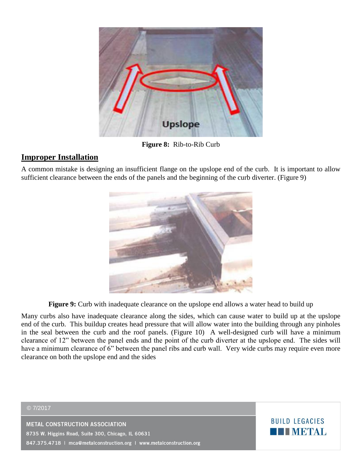

**Figure 8:** Rib-to-Rib Curb

#### **Improper Installation**

A common mistake is designing an insufficient flange on the upslope end of the curb. It is important to allow sufficient clearance between the ends of the panels and the beginning of the curb diverter. (Figure 9)



**Figure 9:** Curb with inadequate clearance on the upslope end allows a water head to build up

Many curbs also have inadequate clearance along the sides, which can cause water to build up at the upslope end of the curb. This buildup creates head pressure that will allow water into the building through any pinholes in the seal between the curb and the roof panels. (Figure 10) A well-designed curb will have a minimum clearance of 12" between the panel ends and the point of the curb diverter at the upslope end. The sides will have a minimum clearance of 6" between the panel ribs and curb wall. Very wide curbs may require even more clearance on both the upslope end and the sides

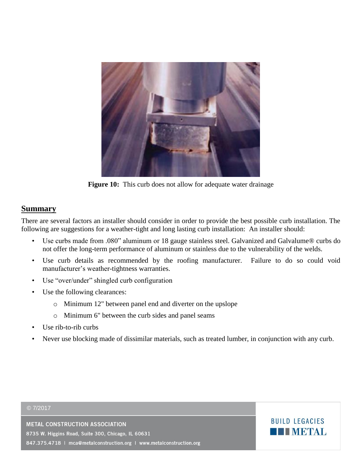

**Figure 10:** This curb does not allow for adequate water drainage

#### **Summary**

There are several factors an installer should consider in order to provide the best possible curb installation. The following are suggestions for a weather-tight and long lasting curb installation: An installer should:

- Use curbs made from .080" aluminum or 18 gauge stainless steel. Galvanized and Galvalume® curbs do not offer the long-term performance of aluminum or stainless due to the vulnerability of the welds.
- Use curb details as recommended by the roofing manufacturer. Failure to do so could void manufacturer's weather-tightness warranties.
- Use "over/under" shingled curb configuration
- Use the following clearances:
	- o Minimum 12" between panel end and diverter on the upslope
	- o Minimum 6" between the curb sides and panel seams
- Use rib-to-rib curbs
- Never use blocking made of dissimilar materials, such as treated lumber, in conjunction with any curb.

#### © 7/2017

**METAL CONSTRUCTION ASSOCIATION** 

8735 W. Higgins Road, Suite 300, Chicago, IL 60631 847.375.4718 | mca@metalconstruction.org | www.metalconstruction.org

## **BUILD LEGACIES TENETAL**